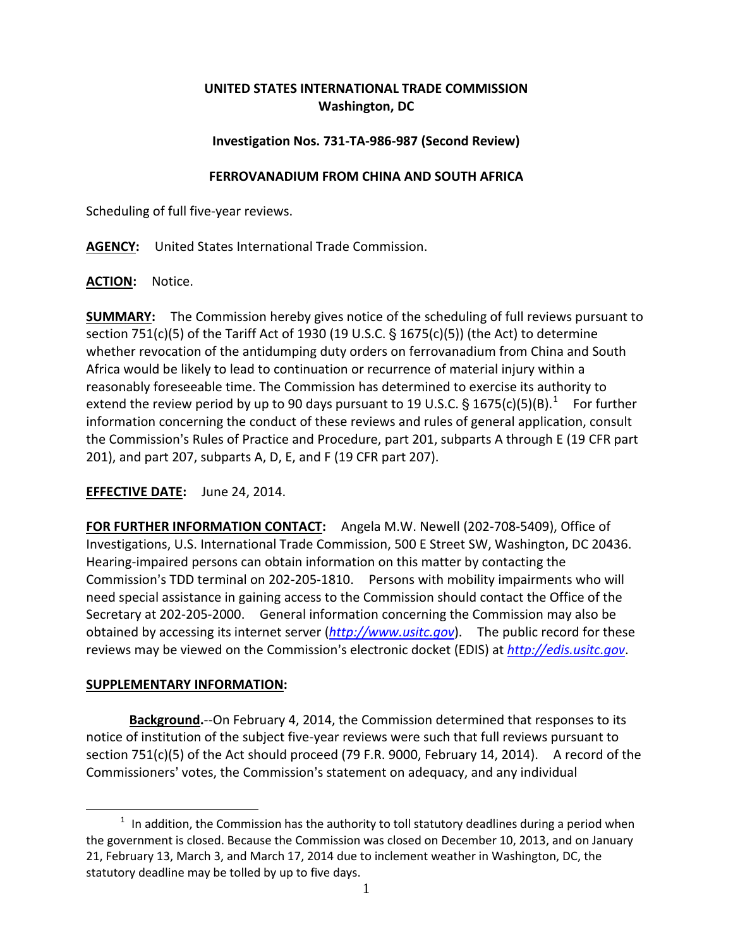# **UNITED STATES INTERNATIONAL TRADE COMMISSION Washington, DC**

# **Investigation Nos. 731-TA-986-987 (Second Review)**

#### **FERROVANADIUM FROM CHINA AND SOUTH AFRICA**

Scheduling of full five-year reviews.

**AGENCY:** United States International Trade Commission.

### **ACTION:** Notice.

**SUMMARY:** The Commission hereby gives notice of the scheduling of full reviews pursuant to section 751(c)(5) of the Tariff Act of 1930 (19 U.S.C.  $\S$  1675(c)(5)) (the Act) to determine whether revocation of the antidumping duty orders on ferrovanadium from China and South Africa would be likely to lead to continuation or recurrence of material injury within a reasonably foreseeable time. The Commission has determined to exercise its authority to extend the review period by up to 90 days pursuant to [1](#page-0-0)9 U.S.C. § 1675(c)(5)(B).<sup>1</sup> For further information concerning the conduct of these reviews and rules of general application, consult the Commission's Rules of Practice and Procedure, part 201, subparts A through E (19 CFR part 201), and part 207, subparts A, D, E, and F (19 CFR part 207).

# **EFFECTIVE DATE:** June 24, 2014.

**FOR FURTHER INFORMATION CONTACT:** Angela M.W. Newell (202-708-5409), Office of Investigations, U.S. International Trade Commission, 500 E Street SW, Washington, DC 20436. Hearing-impaired persons can obtain information on this matter by contacting the Commission's TDD terminal on 202-205-1810. Persons with mobility impairments who will need special assistance in gaining access to the Commission should contact the Office of the Secretary at 202-205-2000. General information concerning the Commission may also be obtained by accessing its internet server (*[http://www.usitc.gov](http://www.usitc.gov/)*). The public record for these reviews may be viewed on the Commission's electronic docket (EDIS) at *[http://edis.usitc.gov](http://edis.usitc.gov/)*.

### **SUPPLEMENTARY INFORMATION:**

 $\overline{a}$ 

**Background.**--On February 4, 2014, the Commission determined that responses to its notice of institution of the subject five-year reviews were such that full reviews pursuant to section 751(c)(5) of the Act should proceed (79 F.R. 9000, February 14, 2014). A record of the Commissioners' votes, the Commission's statement on adequacy, and any individual

<span id="page-0-0"></span> $1$  In addition, the Commission has the authority to toll statutory deadlines during a period when the government is closed. Because the Commission was closed on December 10, 2013, and on January 21, February 13, March 3, and March 17, 2014 due to inclement weather in Washington, DC, the statutory deadline may be tolled by up to five days.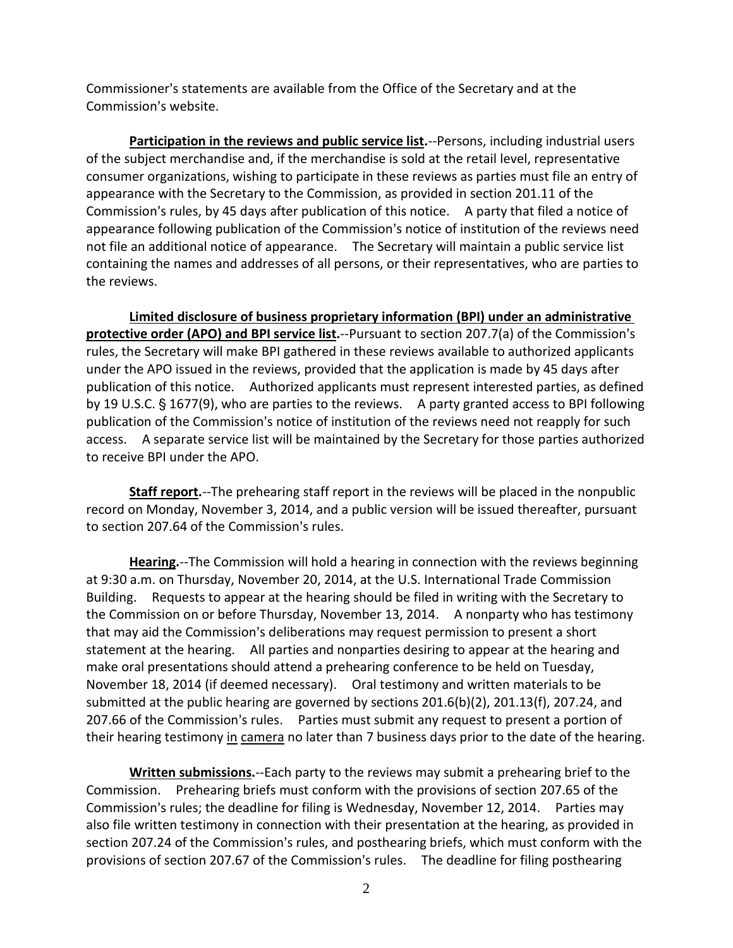Commissioner's statements are available from the Office of the Secretary and at the Commission's website.

**Participation in the reviews and public service list.**--Persons, including industrial users of the subject merchandise and, if the merchandise is sold at the retail level, representative consumer organizations, wishing to participate in these reviews as parties must file an entry of appearance with the Secretary to the Commission, as provided in section 201.11 of the Commission's rules, by 45 days after publication of this notice. A party that filed a notice of appearance following publication of the Commission's notice of institution of the reviews need not file an additional notice of appearance. The Secretary will maintain a public service list containing the names and addresses of all persons, or their representatives, who are parties to the reviews.

**Limited disclosure of business proprietary information (BPI) under an administrative protective order (APO) and BPI service list.**--Pursuant to section 207.7(a) of the Commission's rules, the Secretary will make BPI gathered in these reviews available to authorized applicants under the APO issued in the reviews, provided that the application is made by 45 days after publication of this notice. Authorized applicants must represent interested parties, as defined by 19 U.S.C. § 1677(9), who are parties to the reviews. A party granted access to BPI following publication of the Commission's notice of institution of the reviews need not reapply for such access. A separate service list will be maintained by the Secretary for those parties authorized to receive BPI under the APO.

**Staff report.**--The prehearing staff report in the reviews will be placed in the nonpublic record on Monday, November 3, 2014, and a public version will be issued thereafter, pursuant to section 207.64 of the Commission's rules.

**Hearing.**--The Commission will hold a hearing in connection with the reviews beginning at 9:30 a.m. on Thursday, November 20, 2014, at the U.S. International Trade Commission Building. Requests to appear at the hearing should be filed in writing with the Secretary to the Commission on or before Thursday, November 13, 2014. A nonparty who has testimony that may aid the Commission's deliberations may request permission to present a short statement at the hearing. All parties and nonparties desiring to appear at the hearing and make oral presentations should attend a prehearing conference to be held on Tuesday, November 18, 2014 (if deemed necessary). Oral testimony and written materials to be submitted at the public hearing are governed by sections 201.6(b)(2), 201.13(f), 207.24, and 207.66 of the Commission's rules. Parties must submit any request to present a portion of their hearing testimony in camera no later than 7 business days prior to the date of the hearing.

**Written submissions.**--Each party to the reviews may submit a prehearing brief to the Commission. Prehearing briefs must conform with the provisions of section 207.65 of the Commission's rules; the deadline for filing is Wednesday, November 12, 2014. Parties may also file written testimony in connection with their presentation at the hearing, as provided in section 207.24 of the Commission's rules, and posthearing briefs, which must conform with the provisions of section 207.67 of the Commission's rules. The deadline for filing posthearing